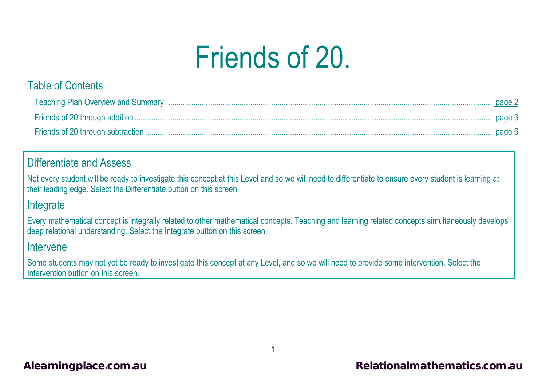# Friends of 20.

## Table of Contents

## Differentiate and Assess

Not every student will be ready to investigate this concept at this Level and so we will need to differentiate to ensure every student is learning at their leading edge. Select the Differentiate button on this screen.

## **Integrate**

Every mathematical concept is integrally related to other mathematical concepts. Teaching and learning related concepts simultaneously develops deep relational understanding. Select the Integrate button on this screen.

### Intervene

Some students may not yet be ready to investigate this concept at any Level, and so we will need to provide some intervention. Select the Intervention button on this screen.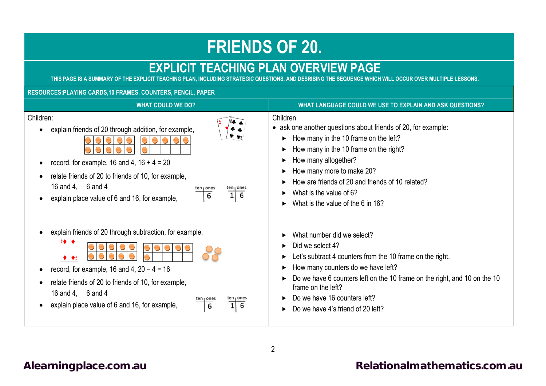## **FRIENDS OF 20.**

## **EXPLICIT TEACHING PLAN OVERVIEW PAGE**<br>THIS PAGE IS A SUMMARY OF THE EXPLICIT TEACHING PLAN. INCLUDING STRATEGIC QUESTIONS. AND DESRIBING THE SEQUENCE WHICH

<span id="page-1-0"></span>**INCLUDING STRATEGIC QUESTIONS, AND DESRIBING THE SEQUENCE WHICH WILL OCCUR OVER MULTIPLE LESSONS.** 

### **RESOURCES:PLAYING CARDS,10 FRAMES, COUNTERS, PENCIL, PAPER**

| <b>WHAT COULD WE DO?</b>                                                                                                                                                                                                                                                                        | WHAT LANGUAGE COULD WE USE TO EXPLAIN AND ASK QUESTIONS?                                                                                                                                                                                                                                                                              |
|-------------------------------------------------------------------------------------------------------------------------------------------------------------------------------------------------------------------------------------------------------------------------------------------------|---------------------------------------------------------------------------------------------------------------------------------------------------------------------------------------------------------------------------------------------------------------------------------------------------------------------------------------|
| Children:<br>explain friends of 20 through addition, for example,<br>record, for example, 16 and 4, $16 + 4 = 20$<br>relate friends of 20 to friends of 10, for example,<br>16 and 4, 6 and 4<br>ten <sub>i</sub> ones<br>$\overline{16}$<br>6<br>explain place value of 6 and 16, for example, | Children<br>• ask one another questions about friends of 20, for example:<br>How many in the 10 frame on the left?<br>How many in the 10 frame on the right?<br>How many altogether?<br>How many more to make 20?<br>How are friends of 20 and friends of 10 related?<br>What is the value of 6?<br>What is the value of the 6 in 16? |
| explain friends of 20 through subtraction, for example,<br>record, for example, 16 and 4, $20 - 4 = 16$<br>relate friends of 20 to friends of 10, for example,<br>16 and 4, 6 and 4<br>I ones<br>1<br>6<br>explain place value of 6 and 16, for example,<br>$6\overline{6}$                     | What number did we select?<br>Did we select 4?<br>Let's subtract 4 counters from the 10 frame on the right.<br>How many counters do we have left?<br>Do we have 6 counters left on the 10 frame on the right, and 10 on the 10<br>frame on the left?<br>Do we have 16 counters left?<br>Do we have 4's friend of 20 left?             |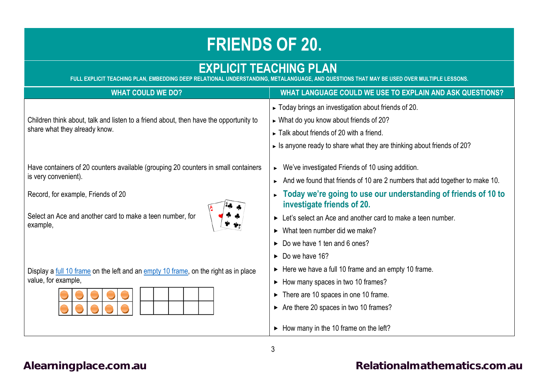## **FRIENDS OF 20.**

## <span id="page-2-0"></span>**EXPLICIT TEACHING PLAN**

**FULL EXPLICIT TEACHING PLAN, EMBEDDING DEEP RELATIONAL UNDERSTANDING, METALANGUAGE, AND QUESTIONS THAT MAY BE USED OVER MULTIPLE LESSONS.**

| <b>WHAT COULD WE DO?</b>                                                                                               | WHAT LANGUAGE COULD WE USE TO EXPLAIN AND ASK QUESTIONS?                                     |
|------------------------------------------------------------------------------------------------------------------------|----------------------------------------------------------------------------------------------|
| Children think about, talk and listen to a friend about, then have the opportunity to<br>share what they already know. | ► Today brings an investigation about friends of 20.                                         |
|                                                                                                                        | ► What do you know about friends of 20?                                                      |
|                                                                                                                        | $\triangleright$ Talk about friends of 20 with a friend.                                     |
|                                                                                                                        | $\triangleright$ Is anyone ready to share what they are thinking about friends of 20?        |
| Have containers of 20 counters available (grouping 20 counters in small containers                                     | We've investigated Friends of 10 using addition.<br>▶.                                       |
| is very convenient).                                                                                                   | And we found that friends of 10 are 2 numbers that add together to make 10.                  |
| Record, for example, Friends of 20                                                                                     | Today we're going to use our understanding of friends of 10 to<br>investigate friends of 20. |
| Select an Ace and another card to make a teen number, for<br>example,                                                  | Example: Let's select an Ace and another card to make a teen number.                         |
|                                                                                                                        | $\triangleright$ What teen number did we make?                                               |
|                                                                                                                        | $\triangleright$ Do we have 1 ten and 6 ones?                                                |
|                                                                                                                        | $\triangleright$ Do we have 16?                                                              |
| Display a full 10 frame on the left and an empty 10 frame, on the right as in place                                    | $\triangleright$ Here we have a full 10 frame and an empty 10 frame.                         |
| value, for example,                                                                                                    | • How many spaces in two 10 frames?                                                          |
|                                                                                                                        | $\triangleright$ There are 10 spaces in one 10 frame.                                        |
|                                                                                                                        | $\triangleright$ Are there 20 spaces in two 10 frames?                                       |
|                                                                                                                        | $\triangleright$ How many in the 10 frame on the left?                                       |

3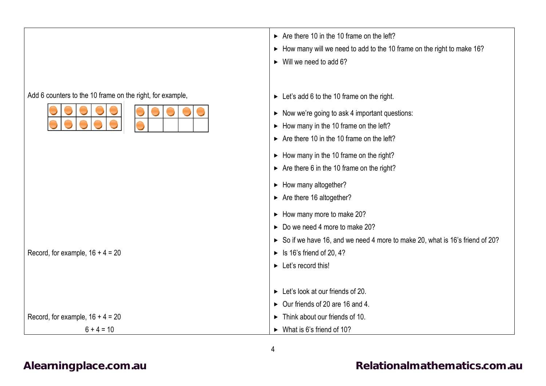## Add 6 counters to the 10 frame on the right, for example, Record, for example,  $16 + 4 = 20$ Record, for example,  $16 + 4 = 20$  $6 + 4 = 10$ ► Let's add 6 to the 10 frame on the right.  $\triangleright$  Now we're going to ask 4 important questions:  $\blacktriangleright$  How many in the 10 frame on the left?  $\triangleright$  Are there 10 in the 10 frame on the left?  $\blacktriangleright$  How many in the 10 frame on the right?  $\triangleright$  Are there 6 in the 10 frame on the right?  $\blacktriangleright$  How many altogether?  $\triangleright$  Are there 16 altogether?  $\blacktriangleright$  How many more to make 20?  $\triangleright$  Do we need 4 more to make 202 So if we have 16, and we need 4 more to make 20, what is 16's friend of 20?  $\blacktriangleright$  Is 16's friend of 20, 4?  $\blacktriangleright$  Let's record this!  $\blacktriangleright$  Let's look at our friends of 20.  $\triangleright$  Our friends of 20 are 16 and 4. ► Think about our friends of 10. What is 6's friend of 10?

 $\triangleright$  Are there 10 in the 10 frame on the left?

 $\blacktriangleright$  Will we need to add 6?

How many will we need to add to the 10 frame on the right to make 16?

### [Alearningplace.com.au](https://alearningplace.com.au/) **Alearningplace.com.au [Relationalmathematics.com.au](http://relationalmathematics.com.au/)**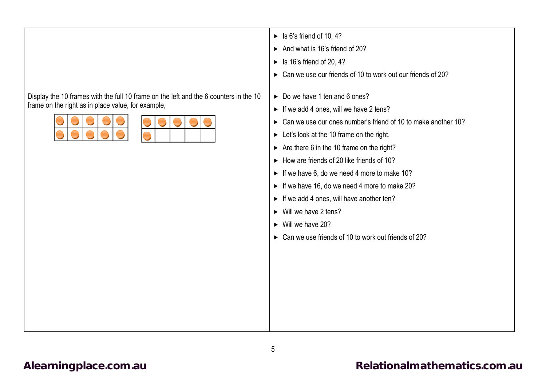Display the 10 frames with the full 10 frame on the left and the 6 counters in the 10 frame on the right as in place value, for example,



- $\blacktriangleright$  Is 6's friend of 10, 4?
- And what is 16's friend of 20?
- $\blacktriangleright$  Is 16's friend of 20, 4?
- ► Can we use our friends of 10 to work out our friends of 202
- ► Do we have 1 ten and 6 ones?
- $\blacktriangleright$  If we add 4 ones, will we have 2 tens?
- ► Can we use our ones number's friend of 10 to make another 10?
- $\blacktriangleright$  Let's look at the 10 frame on the right.
- $\triangleright$  Are there 6 in the 10 frame on the right?
- $\blacktriangleright$  How are friends of 20 like friends of 10?
- $\blacktriangleright$  If we have 6, do we need 4 more to make 10?
- $\blacktriangleright$  If we have 16, do we need 4 more to make 20?
- $\blacktriangleright$  If we add 4 ones, will have another ten?
- $\triangleright$  Will we have 2 tens?
- $\triangleright$  Will we have 20?
- ► Can we use friends of 10 to work out friends of 202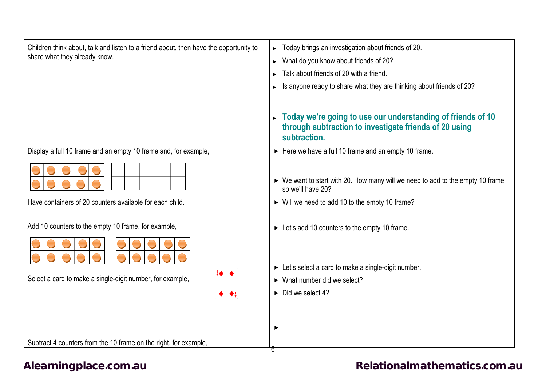<span id="page-5-0"></span>

| Children think about, talk and listen to a friend about, then have the opportunity to<br>share what they already know. | Today brings an investigation about friends of 20.<br>What do you know about friends of 20?<br>Talk about friends of 20 with a friend.<br>Is anyone ready to share what they are thinking about friends of 20? |
|------------------------------------------------------------------------------------------------------------------------|----------------------------------------------------------------------------------------------------------------------------------------------------------------------------------------------------------------|
|                                                                                                                        | Today we're going to use our understanding of friends of 10<br>through subtraction to investigate friends of 20 using<br>subtraction.                                                                          |
| Display a full 10 frame and an empty 10 frame and, for example,                                                        | Here we have a full 10 frame and an empty 10 frame.                                                                                                                                                            |
| Have containers of 20 counters available for each child.                                                               | ► We want to start with 20. How many will we need to add to the empty 10 frame<br>so we'll have 20?<br>• Will we need to add 10 to the empty 10 frame?                                                         |
| Add 10 counters to the empty 10 frame, for example,                                                                    | ► Let's add 10 counters to the empty 10 frame.                                                                                                                                                                 |
| Select a card to make a single-digit number, for example,                                                              | $\triangleright$ Let's select a card to make a single-digit number.<br>$\triangleright$ What number did we select?<br>$\triangleright$ Did we select 4?                                                        |
| Subtract 4 counters from the 10 frame on the right, for example,                                                       | ▶<br>b                                                                                                                                                                                                         |

## [Alearningplace.com.au](https://alearningplace.com.au/) **Alearningplace.com.au [Relationalmathematics.com.au](http://relationalmathematics.com.au/)**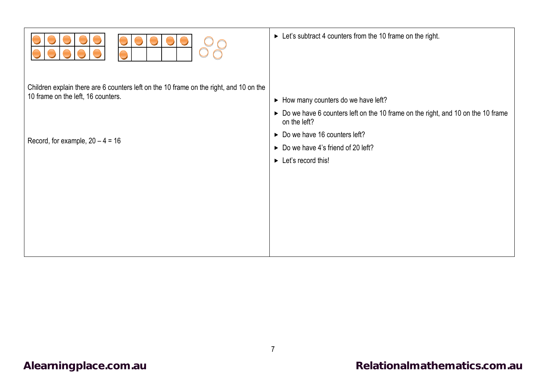|                                                                                                                              | $\triangleright$ Let's subtract 4 counters from the 10 frame on the right.                                                                |
|------------------------------------------------------------------------------------------------------------------------------|-------------------------------------------------------------------------------------------------------------------------------------------|
| Children explain there are 6 counters left on the 10 frame on the right, and 10 on the<br>10 frame on the left, 16 counters. | • How many counters do we have left?<br>► Do we have 6 counters left on the 10 frame on the right, and 10 on the 10 frame<br>on the left? |
| Record, for example, $20 - 4 = 16$                                                                                           | $\triangleright$ Do we have 16 counters left?<br>Do we have 4's friend of 20 left?<br>$\blacktriangleright$ Let's record this!            |
|                                                                                                                              |                                                                                                                                           |
|                                                                                                                              |                                                                                                                                           |

Π

 $\Gamma$